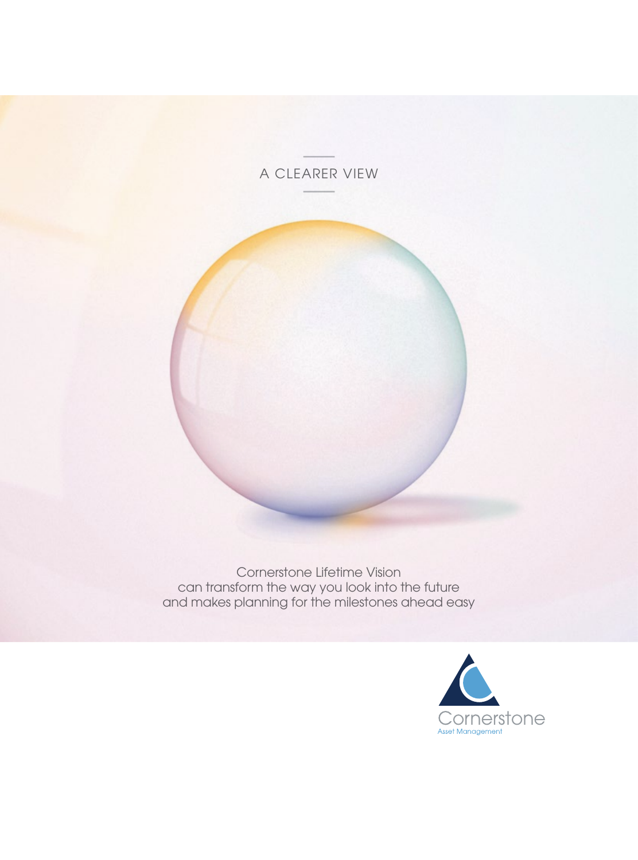# A CLEARER VIEW



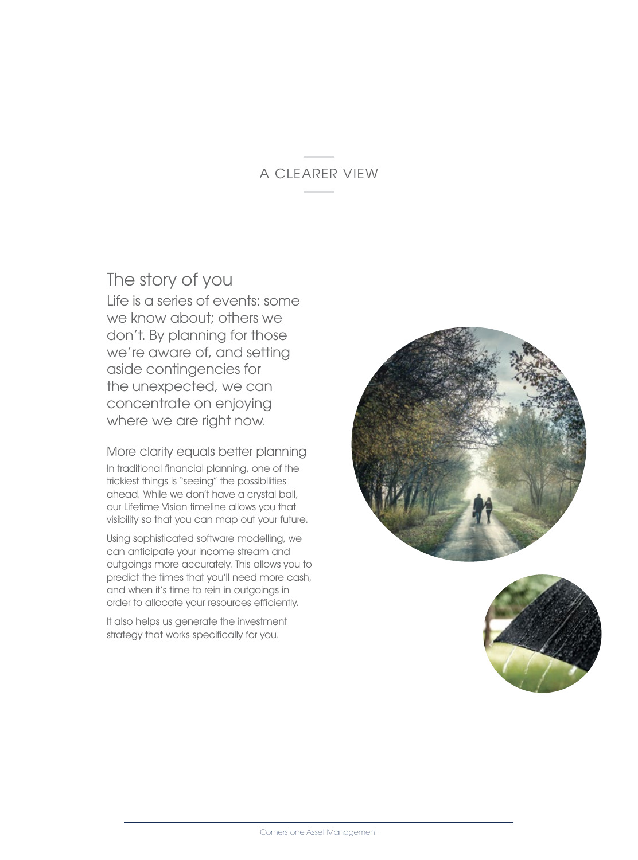## A CLEARER VIEW

# The story of you

Life is a series of events: some we know about; others we don't. By planning for those we're aware of, and setting aside contingencies for the unexpected, we can concentrate on enjoying where we are right now.

More clarity equals better planning In traditional financial planning, one of the trickiest things is "seeing" the possibilities ahead. While we don't have a crystal ball, our Lifetime Vision timeline allows you that visibility so that you can map out your future.

Using sophisticated software modelling, we can anticipate your income stream and outgoings more accurately. This allows you to predict the times that you'll need more cash, and when it's time to rein in outgoings in order to allocate your resources efficiently.

It also helps us generate the investment strategy that works specifically for you.



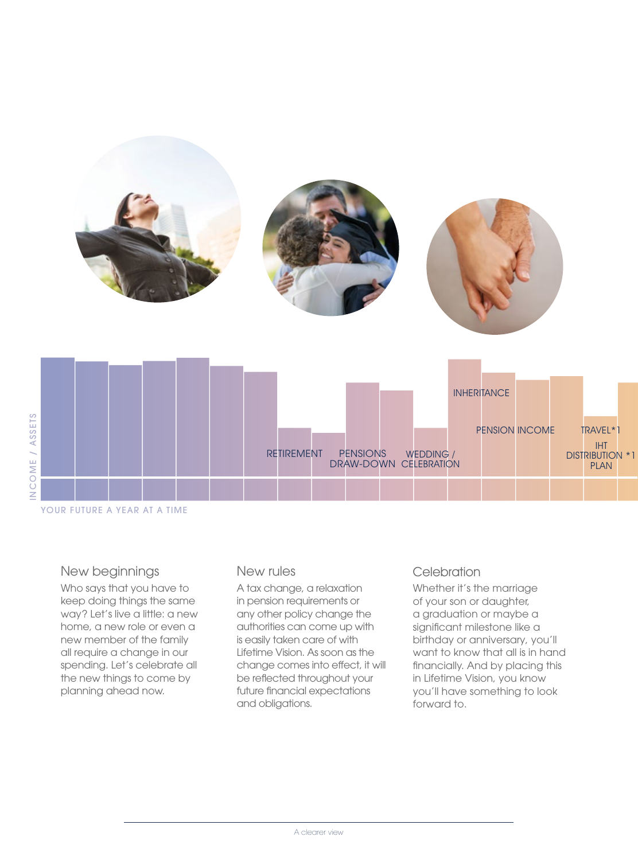|                              | <b>INHERITANCE</b>                                                                                                |
|------------------------------|-------------------------------------------------------------------------------------------------------------------|
|                              | PENSION INCOME<br>TRAVEL*1<br>DISTRIBUTION *1<br><b>RETIREMENT</b><br>PENSIONS WEDDING /<br>DRAW-DOWN CELEBRATION |
| YOUR FUTURE A YEAR AT A TIME |                                                                                                                   |

#### New beginnings

INCOME / ASSETS

INCOME / ASSETS

Who says that you have to keep doing things the same way? Let's live a little: a new home, a new role or even a new member of the family all require a change in our spending. Let's celebrate all the new things to come by planning ahead now.

## New rules

A tax change, a relaxation in pension requirements or any other policy change the authorities can come up with is easily taken care of with Lifetime Vision. As soon as the change comes into effect, it will be reflected throughout your future financial expectations and obligations.

## **Celebration**

Whether it's the marriage of your son or daughter, a graduation or maybe a significant milestone like a birthday or anniversary, you'll want to know that all is in hand financially. And by placing this in Lifetime Vision, you know you'll have something to look forward to.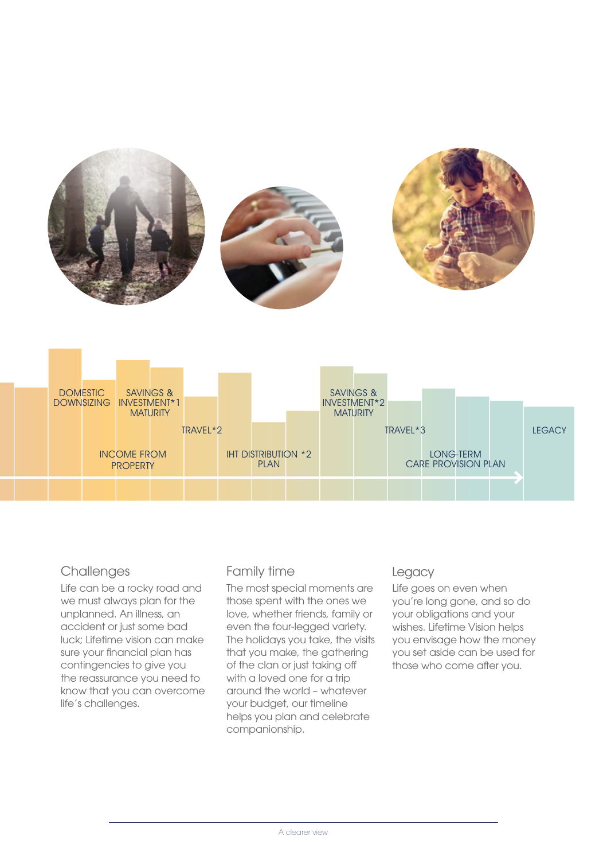



## **Challenges**

Life can be a rocky road and we must always plan for the unplanned. An illness, an accident or just some bad luck; Lifetime vision can make sure your financial plan has contingencies to give you the reassurance you need to know that you can overcome life's challenges.

## Family time

The most special moments are those spent with the ones we love, whether friends, family or even the four-legged variety. The holidays you take, the visits that you make, the gathering of the clan or just taking off with a loved one for a trip around the world – whatever your budget, our timeline helps you plan and celebrate companionship.

## Legacy

Life goes on even when you're long gone, and so do your obligations and your wishes. Lifetime Vision helps you envisage how the money you set aside can be used for those who come after you.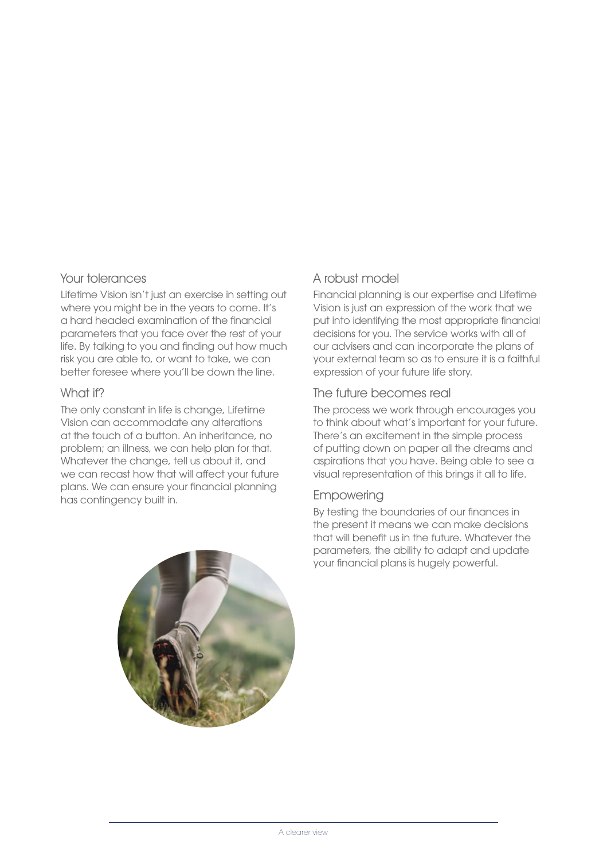#### Your tolerances

Lifetime Vision isn't just an exercise in setting out where you might be in the years to come. It's a hard headed examination of the financial parameters that you face over the rest of your life. By talking to you and finding out how much risk you are able to, or want to take, we can better foresee where you'll be down the line.

#### What if?

The only constant in life is change, Lifetime Vision can accommodate any alterations at the touch of a button. An inheritance, no problem; an illness, we can help plan for that. Whatever the change, tell us about it, and we can recast how that will affect your future plans. We can ensure your financial planning has contingency built in.

### A robust model

Financial planning is our expertise and Lifetime Vision is just an expression of the work that we put into identifying the most appropriate financial decisions for you. The service works with all of our advisers and can incorporate the plans of your external team so as to ensure it is a faithful expression of your future life story.

#### The future becomes real

The process we work through encourages you to think about what's important for your future. There's an excitement in the simple process of putting down on paper all the dreams and aspirations that you have. Being able to see a visual representation of this brings it all to life.

#### Empowering

By testing the boundaries of our finances in the present it means we can make decisions that will benefit us in the future. Whatever the parameters, the ability to adapt and update your financial plans is hugely powerful.